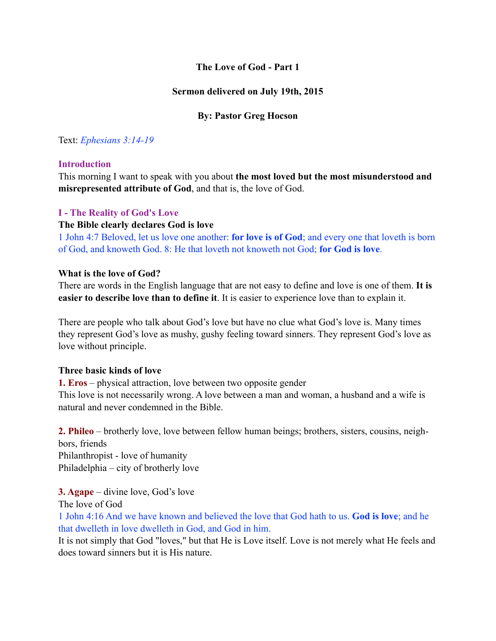# **The Love of God - Part 1**

## **Sermon delivered on July 19th, 2015**

## **By: Pastor Greg Hocson**

## Text: *Ephesians 3:14-19*

### **Introduction**

This morning I want to speak with you about **the most loved but the most misunderstood and misrepresented attribute of God**, and that is, the love of God.

### **I - The Reality of God's Love**

### **The Bible clearly declares God is love**

1 John 4:7 Beloved, let us love one another: **for love is of God**; and every one that loveth is born of God, and knoweth God. 8: He that loveth not knoweth not God; **for God is love**.

### **What is the love of God?**

There are words in the English language that are not easy to define and love is one of them. **It is easier to describe love than to define it**. It is easier to experience love than to explain it.

There are people who talk about God's love but have no clue what God's love is. Many times they represent God's love as mushy, gushy feeling toward sinners. They represent God's love as love without principle.

### **Three basic kinds of love**

**1. Eros** – physical attraction, love between two opposite gender This love is not necessarily wrong. A love between a man and woman, a husband and a wife is natural and never condemned in the Bible.

**2. Phileo** – brotherly love, love between fellow human beings; brothers, sisters, cousins, neighbors, friends Philanthropist - love of humanity Philadelphia – city of brotherly love

**3. Agape** – divine love, God's love The love of God

1 John 4:16 And we have known and believed the love that God hath to us. **God is love**; and he that dwelleth in love dwelleth in God, and God in him.

It is not simply that God "loves," but that He is Love itself. Love is not merely what He feels and does toward sinners but it is His nature.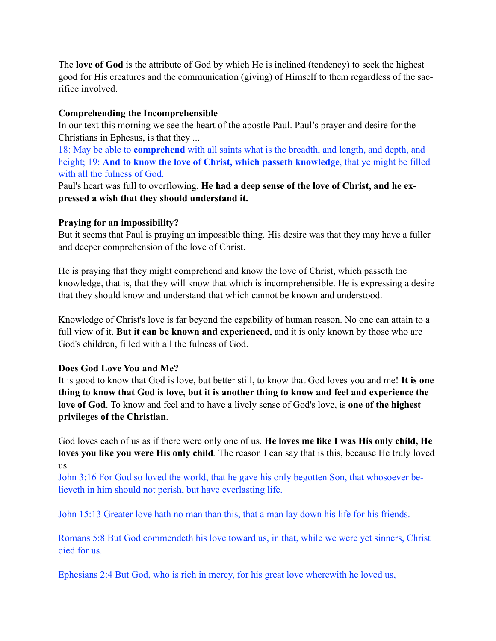The **love of God** is the attribute of God by which He is inclined (tendency) to seek the highest good for His creatures and the communication (giving) of Himself to them regardless of the sacrifice involved.

## **Comprehending the Incomprehensible**

In our text this morning we see the heart of the apostle Paul. Paul's prayer and desire for the Christians in Ephesus, is that they ...

18: May be able to **comprehend** with all saints what is the breadth, and length, and depth, and height; 19: **And to know the love of Christ, which passeth knowledge**, that ye might be filled with all the fulness of God.

Paul's heart was full to overflowing. **He had a deep sense of the love of Christ, and he expressed a wish that they should understand it.**

## **Praying for an impossibility?**

But it seems that Paul is praying an impossible thing. His desire was that they may have a fuller and deeper comprehension of the love of Christ.

He is praying that they might comprehend and know the love of Christ, which passeth the knowledge, that is, that they will know that which is incomprehensible. He is expressing a desire that they should know and understand that which cannot be known and understood.

Knowledge of Christ's love is far beyond the capability of human reason. No one can attain to a full view of it. **But it can be known and experienced**, and it is only known by those who are God's children, filled with all the fulness of God.

## **Does God Love You and Me?**

It is good to know that God is love, but better still, to know that God loves you and me! **It is one thing to know that God is love, but it is another thing to know and feel and experience the love of God**. To know and feel and to have a lively sense of God's love, is **one of the highest privileges of the Christian**.

God loves each of us as if there were only one of us. **He loves me like I was His only child, He loves you like you were His only child***.* The reason I can say that is this, because He truly loved us.

John 3:16 For God so loved the world, that he gave his only begotten Son, that whosoever believeth in him should not perish, but have everlasting life.

John 15:13 Greater love hath no man than this, that a man lay down his life for his friends.

Romans 5:8 But God commendeth his love toward us, in that, while we were yet sinners, Christ died for us.

Ephesians 2:4 But God, who is rich in mercy, for his great love wherewith he loved us,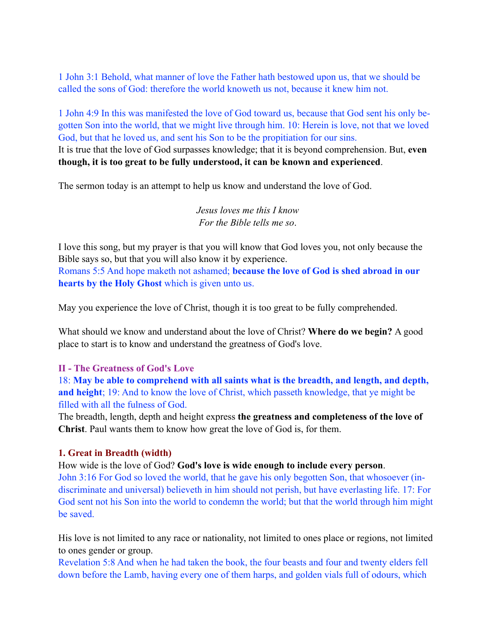1 John 3:1 Behold, what manner of love the Father hath bestowed upon us, that we should be called the sons of God: therefore the world knoweth us not, because it knew him not.

1 John 4:9 In this was manifested the love of God toward us, because that God sent his only begotten Son into the world, that we might live through him. 10: Herein is love, not that we loved God, but that he loved us, and sent his Son to be the propitiation for our sins. It is true that the love of God surpasses knowledge; that it is beyond comprehension. But, **even though, it is too great to be fully understood, it can be known and experienced**.

The sermon today is an attempt to help us know and understand the love of God.

*Jesus loves me this I know For the Bible tells me so*.

I love this song, but my prayer is that you will know that God loves you, not only because the Bible says so, but that you will also know it by experience. Romans 5:5 And hope maketh not ashamed; **because the love of God is shed abroad in our hearts by the Holy Ghost** which is given unto us.

May you experience the love of Christ, though it is too great to be fully comprehended.

What should we know and understand about the love of Christ? **Where do we begin?** A good place to start is to know and understand the greatness of God's love.

## **II - The Greatness of God's Love**

18: **May be able to comprehend with all saints what is the breadth, and length, and depth, and height**; 19: And to know the love of Christ, which passeth knowledge, that ye might be filled with all the fulness of God.

The breadth, length, depth and height express **the greatness and completeness of the love of Christ**. Paul wants them to know how great the love of God is, for them.

### **1. Great in Breadth (width)**

How wide is the love of God? **God's love is wide enough to include every person**.

John 3:16 For God so loved the world, that he gave his only begotten Son, that whosoever (indiscriminate and universal) believeth in him should not perish, but have everlasting life. 17: For God sent not his Son into the world to condemn the world; but that the world through him might be saved.

His love is not limited to any race or nationality, not limited to ones place or regions, not limited to ones gender or group.

Revelation 5:8 And when he had taken the book, the four beasts and four and twenty elders fell down before the Lamb, having every one of them harps, and golden vials full of odours, which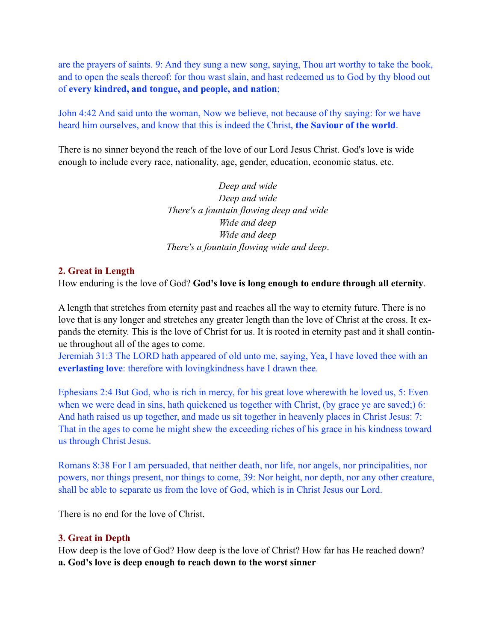are the prayers of saints. 9: And they sung a new song, saying, Thou art worthy to take the book, and to open the seals thereof: for thou wast slain, and hast redeemed us to God by thy blood out of **every kindred, and tongue, and people, and nation**;

John 4:42 And said unto the woman, Now we believe, not because of thy saying: for we have heard him ourselves, and know that this is indeed the Christ, **the Saviour of the world**.

There is no sinner beyond the reach of the love of our Lord Jesus Christ. God's love is wide enough to include every race, nationality, age, gender, education, economic status, etc.

> *Deep and wide Deep and wide There's a fountain flowing deep and wide Wide and deep Wide and deep There's a fountain flowing wide and deep*.

#### **2. Great in Length**

How enduring is the love of God? **God's love is long enough to endure through all eternity**.

A length that stretches from eternity past and reaches all the way to eternity future. There is no love that is any longer and stretches any greater length than the love of Christ at the cross. It expands the eternity. This is the love of Christ for us. It is rooted in eternity past and it shall continue throughout all of the ages to come.

Jeremiah 31:3 The LORD hath appeared of old unto me, saying, Yea, I have loved thee with an **everlasting love**: therefore with lovingkindness have I drawn thee.

Ephesians 2:4 But God, who is rich in mercy, for his great love wherewith he loved us, 5: Even when we were dead in sins, hath quickened us together with Christ, (by grace ye are saved;) 6: And hath raised us up together, and made us sit together in heavenly places in Christ Jesus: 7: That in the ages to come he might shew the exceeding riches of his grace in his kindness toward us through Christ Jesus.

Romans 8:38 For I am persuaded, that neither death, nor life, nor angels, nor principalities, nor powers, nor things present, nor things to come, 39: Nor height, nor depth, nor any other creature, shall be able to separate us from the love of God, which is in Christ Jesus our Lord.

There is no end for the love of Christ.

#### **3. Great in Depth**

How deep is the love of God? How deep is the love of Christ? How far has He reached down? **a. God's love is deep enough to reach down to the worst sinner**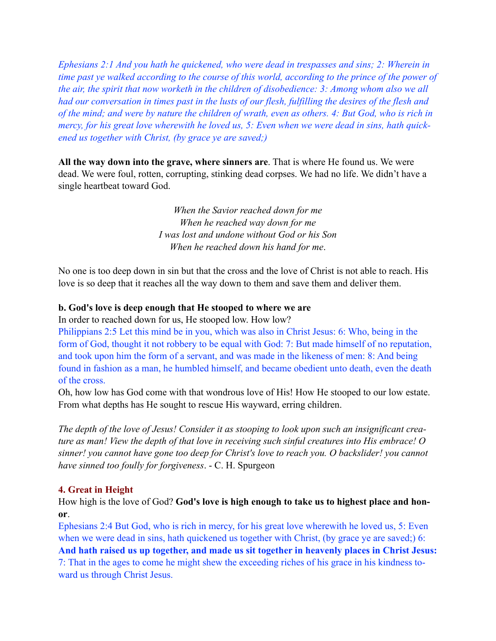*Ephesians 2:1 And you hath he quickened, who were dead in trespasses and sins; 2: Wherein in time past ye walked according to the course of this world, according to the prince of the power of the air, the spirit that now worketh in the children of disobedience: 3: Among whom also we all had our conversation in times past in the lusts of our flesh, fulfilling the desires of the flesh and of the mind; and were by nature the children of wrath, even as others. 4: But God, who is rich in mercy, for his great love wherewith he loved us, 5: Even when we were dead in sins, hath quickened us together with Christ, (by grace ye are saved;)*

**All the way down into the grave, where sinners are**. That is where He found us. We were dead. We were foul, rotten, corrupting, stinking dead corpses. We had no life. We didn't have a single heartbeat toward God.

> *When the Savior reached down for me When he reached way down for me I was lost and undone without God or his Son When he reached down his hand for me*.

No one is too deep down in sin but that the cross and the love of Christ is not able to reach. His love is so deep that it reaches all the way down to them and save them and deliver them.

### **b. God's love is deep enough that He stooped to where we are**

In order to reached down for us, He stooped low. How low?

Philippians 2:5 Let this mind be in you, which was also in Christ Jesus: 6: Who, being in the form of God, thought it not robbery to be equal with God: 7: But made himself of no reputation, and took upon him the form of a servant, and was made in the likeness of men: 8: And being found in fashion as a man, he humbled himself, and became obedient unto death, even the death of the cross.

Oh, how low has God come with that wondrous love of His! How He stooped to our low estate. From what depths has He sought to rescue His wayward, erring children.

*The depth of the love of Jesus! Consider it as stooping to look upon such an insignificant creature as man! View the depth of that love in receiving such sinful creatures into His embrace! O sinner! you cannot have gone too deep for Christ's love to reach you. O backslider! you cannot have sinned too foully for forgiveness*. - C. H. Spurgeon

### **4. Great in Height**

How high is the love of God? **God's love is high enough to take us to highest place and honor**.

Ephesians 2:4 But God, who is rich in mercy, for his great love wherewith he loved us, 5: Even when we were dead in sins, hath quickened us together with Christ, (by grace ye are saved;) 6: **And hath raised us up together, and made us sit together in heavenly places in Christ Jesus:** 7: That in the ages to come he might shew the exceeding riches of his grace in his kindness toward us through Christ Jesus.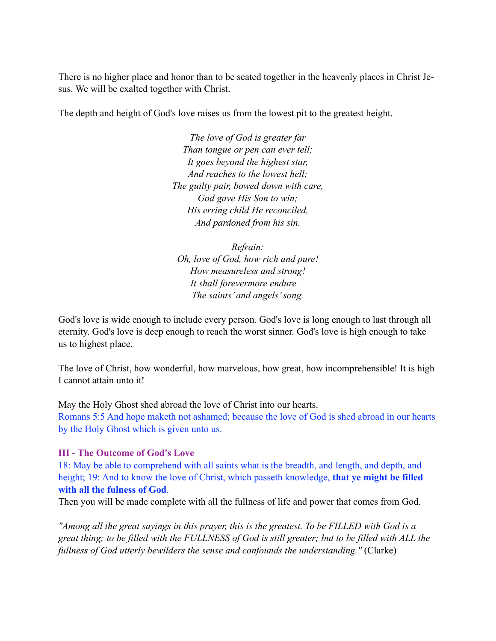There is no higher place and honor than to be seated together in the heavenly places in Christ Jesus. We will be exalted together with Christ.

The depth and height of God's love raises us from the lowest pit to the greatest height.

*The love of God is greater far Than tongue or pen can ever tell; It goes beyond the highest star, And reaches to the lowest hell; The guilty pair, bowed down with care, God gave His Son to win; His erring child He reconciled, And pardoned from his sin.* 

*Refrain: Oh, love of God, how rich and pure! How measureless and strong! It shall forevermore endure— The saints' and angels' song.* 

God's love is wide enough to include every person. God's love is long enough to last through all eternity. God's love is deep enough to reach the worst sinner. God's love is high enough to take us to highest place.

The love of Christ, how wonderful, how marvelous, how great, how incomprehensible! It is high I cannot attain unto it!

May the Holy Ghost shed abroad the love of Christ into our hearts.

Romans 5:5 And hope maketh not ashamed; because the love of God is shed abroad in our hearts by the Holy Ghost which is given unto us.

## **III - The Outcome of God's Love**

18: May be able to comprehend with all saints what is the breadth, and length, and depth, and height; 19: And to know the love of Christ, which passeth knowledge, **that ye might be filled with all the fulness of God**.

Then you will be made complete with all the fullness of life and power that comes from God.

*"Among all the great sayings in this prayer, this is the greatest. To be FILLED with God is a great thing; to be filled with the FULLNESS of God is still greater; but to be filled with ALL the fullness of God utterly bewilders the sense and confounds the understanding."* (Clarke)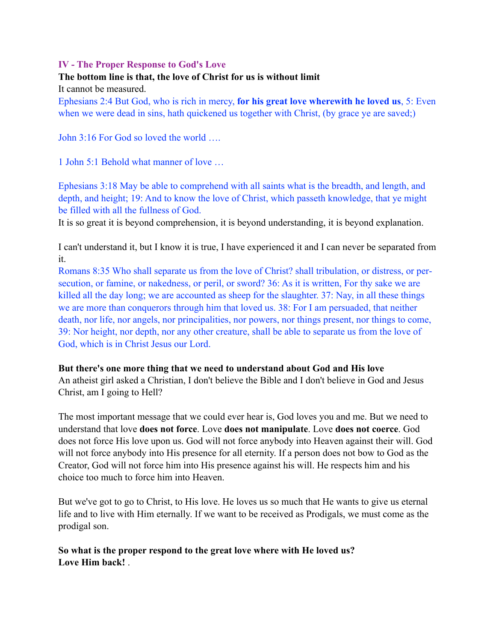## **IV - The Proper Response to God's Love**

# **The bottom line is that, the love of Christ for us is without limit**

It cannot be measured.

Ephesians 2:4 But God, who is rich in mercy, **for his great love wherewith he loved us**, 5: Even when we were dead in sins, hath quickened us together with Christ, (by grace ye are saved;)

John 3:16 For God so loved the world ….

1 John 5:1 Behold what manner of love …

Ephesians 3:18 May be able to comprehend with all saints what is the breadth, and length, and depth, and height; 19: And to know the love of Christ, which passeth knowledge, that ye might be filled with all the fullness of God.

It is so great it is beyond comprehension, it is beyond understanding, it is beyond explanation.

I can't understand it, but I know it is true, I have experienced it and I can never be separated from it.

Romans 8:35 Who shall separate us from the love of Christ? shall tribulation, or distress, or persecution, or famine, or nakedness, or peril, or sword? 36: As it is written, For thy sake we are killed all the day long; we are accounted as sheep for the slaughter. 37: Nay, in all these things we are more than conquerors through him that loved us. 38: For I am persuaded, that neither death, nor life, nor angels, nor principalities, nor powers, nor things present, nor things to come, 39: Nor height, nor depth, nor any other creature, shall be able to separate us from the love of God, which is in Christ Jesus our Lord.

### **But there's one more thing that we need to understand about God and His love**

An atheist girl asked a Christian, I don't believe the Bible and I don't believe in God and Jesus Christ, am I going to Hell?

The most important message that we could ever hear is, God loves you and me. But we need to understand that love **does not force**. Love **does not manipulate**. Love **does not coerce**. God does not force His love upon us. God will not force anybody into Heaven against their will. God will not force anybody into His presence for all eternity. If a person does not bow to God as the Creator, God will not force him into His presence against his will. He respects him and his choice too much to force him into Heaven.

But we've got to go to Christ, to His love. He loves us so much that He wants to give us eternal life and to live with Him eternally. If we want to be received as Prodigals, we must come as the prodigal son.

**So what is the proper respond to the great love where with He loved us? Love Him back!** .